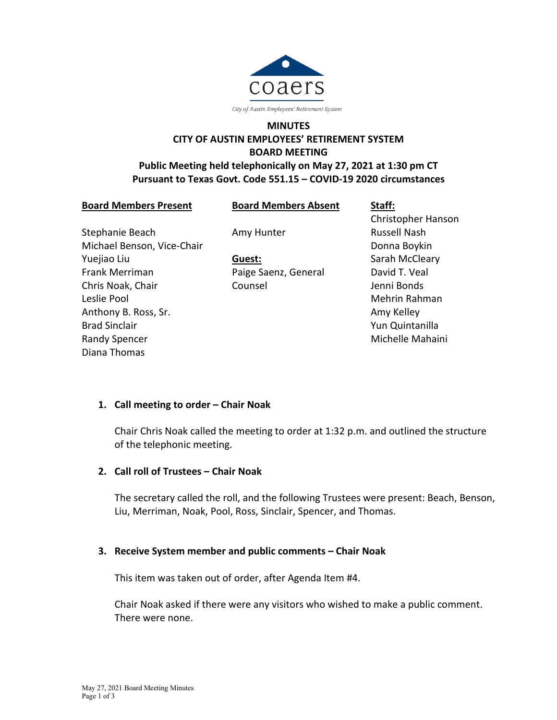

# **MINUTES CITY OF AUSTIN EMPLOYEES' RETIREMENT SYSTEM BOARD MEETING**

### **Public Meeting held telephonically on May 27, 2021 at 1:30 pm CT Pursuant to Texas Govt. Code 551.15 – COVID-19 2020 circumstances**

**Board Members Present**

**Board Members Absent**

Stephanie Beach Michael Benson, Vice-Chair Yuejiao Liu Frank Merriman Chris Noak, Chair Leslie Pool Anthony B. Ross, Sr. Brad Sinclair Randy Spencer Diana Thomas

Amy Hunter

**Guest:** Paige Saenz, General Counsel

**Staff:** Christopher Hanson Russell Nash Donna Boykin Sarah McCleary David T. Veal Jenni Bonds Mehrin Rahman Amy Kelley Yun Quintanilla Michelle Mahaini

# **1. Call meeting to order – Chair Noak**

Chair Chris Noak called the meeting to order at 1:32 p.m. and outlined the structure of the telephonic meeting.

# **2. Call roll of Trustees – Chair Noak**

The secretary called the roll, and the following Trustees were present: Beach, Benson, Liu, Merriman, Noak, Pool, Ross, Sinclair, Spencer, and Thomas.

# **3. Receive System member and public comments – Chair Noak**

This item was taken out of order, after Agenda Item #4.

Chair Noak asked if there were any visitors who wished to make a public comment. There were none.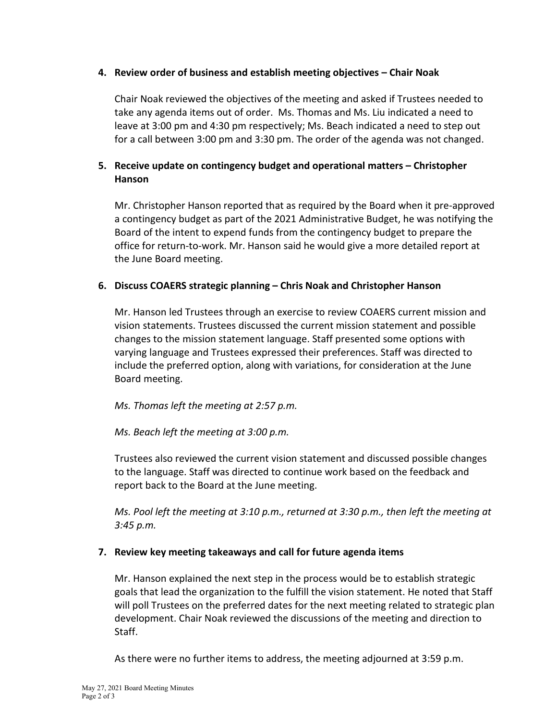#### **4. Review order of business and establish meeting objectives – Chair Noak**

Chair Noak reviewed the objectives of the meeting and asked if Trustees needed to take any agenda items out of order. Ms. Thomas and Ms. Liu indicated a need to leave at 3:00 pm and 4:30 pm respectively; Ms. Beach indicated a need to step out for a call between 3:00 pm and 3:30 pm. The order of the agenda was not changed.

### **5. Receive update on contingency budget and operational matters – Christopher Hanson**

Mr. Christopher Hanson reported that as required by the Board when it pre-approved a contingency budget as part of the 2021 Administrative Budget, he was notifying the Board of the intent to expend funds from the contingency budget to prepare the office for return-to-work. Mr. Hanson said he would give a more detailed report at the June Board meeting.

#### **6. Discuss COAERS strategic planning – Chris Noak and Christopher Hanson**

Mr. Hanson led Trustees through an exercise to review COAERS current mission and vision statements. Trustees discussed the current mission statement and possible changes to the mission statement language. Staff presented some options with varying language and Trustees expressed their preferences. Staff was directed to include the preferred option, along with variations, for consideration at the June Board meeting.

*Ms. Thomas left the meeting at 2:57 p.m.*

#### *Ms. Beach left the meeting at 3:00 p.m.*

Trustees also reviewed the current vision statement and discussed possible changes to the language. Staff was directed to continue work based on the feedback and report back to the Board at the June meeting.

*Ms. Pool left the meeting at 3:10 p.m., returned at 3:30 p.m., then left the meeting at 3:45 p.m.*

#### **7. Review key meeting takeaways and call for future agenda items**

Mr. Hanson explained the next step in the process would be to establish strategic goals that lead the organization to the fulfill the vision statement. He noted that Staff will poll Trustees on the preferred dates for the next meeting related to strategic plan development. Chair Noak reviewed the discussions of the meeting and direction to Staff.

As there were no further items to address, the meeting adjourned at 3:59 p.m.